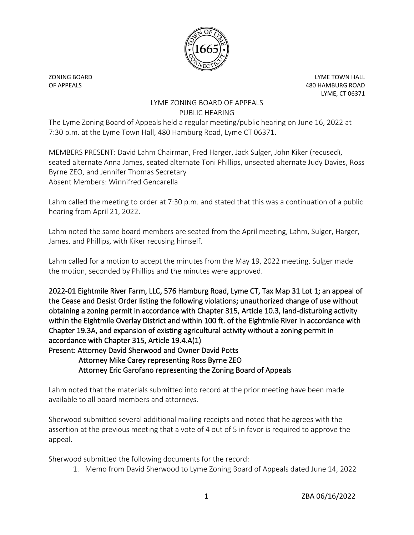

ZONING BOARD LYME TOWN HALL OF APPEALS 480 HAMBURG ROAD LYME, CT 06371

## LYME ZONING BOARD OF APPEALS PUBLIC HEARING

The Lyme Zoning Board of Appeals held a regular meeting/public hearing on June 16, 2022 at 7:30 p.m. at the Lyme Town Hall, 480 Hamburg Road, Lyme CT 06371.

MEMBERS PRESENT: David Lahm Chairman, Fred Harger, Jack Sulger, John Kiker (recused), seated alternate Anna James, seated alternate Toni Phillips, unseated alternate Judy Davies, Ross Byrne ZEO, and Jennifer Thomas Secretary Absent Members: Winnifred Gencarella

Lahm called the meeting to order at 7:30 p.m. and stated that this was a continuation of a public hearing from April 21, 2022.

Lahm noted the same board members are seated from the April meeting, Lahm, Sulger, Harger, James, and Phillips, with Kiker recusing himself.

Lahm called for a motion to accept the minutes from the May 19, 2022 meeting. Sulger made the motion, seconded by Phillips and the minutes were approved.

2022-01 Eightmile River Farm, LLC, 576 Hamburg Road, Lyme CT, Tax Map 31 Lot 1; an appeal of the Cease and Desist Order listing the following violations; unauthorized change of use without obtaining a zoning permit in accordance with Chapter 315, Article 10.3, land-disturbing activity within the Eightmile Overlay District and within 100 ft. of the Eightmile River in accordance with Chapter 19.3A, and expansion of existing agricultural activity without a zoning permit in accordance with Chapter 315, Article 19.4.A(1) Present: Attorney David Sherwood and Owner David Potts

## Attorney Mike Carey representing Ross Byrne ZEO Attorney Eric Garofano representing the Zoning Board of Appeals

Lahm noted that the materials submitted into record at the prior meeting have been made available to all board members and attorneys.

Sherwood submitted several additional mailing receipts and noted that he agrees with the assertion at the previous meeting that a vote of 4 out of 5 in favor is required to approve the appeal.

Sherwood submitted the following documents for the record:

1. Memo from David Sherwood to Lyme Zoning Board of Appeals dated June 14, 2022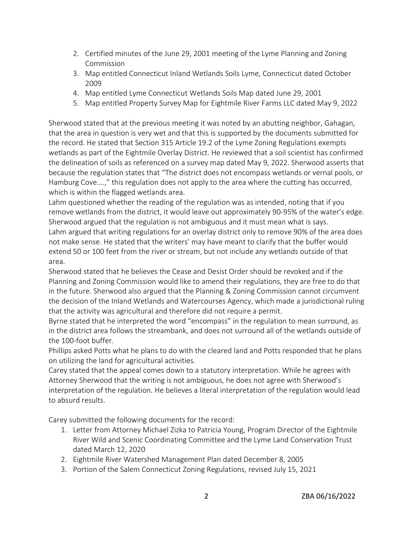- 2. Certified minutes of the June 29, 2001 meeting of the Lyme Planning and Zoning Commission
- 3. Map entitled Connecticut Inland Wetlands Soils Lyme, Connecticut dated October 2009
- 4. Map entitled Lyme Connecticut Wetlands Soils Map dated June 29, 2001
- 5. Map entitled Property Survey Map for Eightmile River Farms LLC dated May 9, 2022

Sherwood stated that at the previous meeting it was noted by an abutting neighbor, Gahagan, that the area in question is very wet and that this is supported by the documents submitted for the record. He stated that Section 315 Article 19.2 of the Lyme Zoning Regulations exempts wetlands as part of the Eightmile Overlay District. He reviewed that a soil scientist has confirmed the delineation of soils as referenced on a survey map dated May 9, 2022. Sherwood asserts that because the regulation states that "The district does not encompass wetlands or vernal pools, or Hamburg Cove….," this regulation does not apply to the area where the cutting has occurred, which is within the flagged wetlands area.

Lahm questioned whether the reading of the regulation was as intended, noting that if you remove wetlands from the district, it would leave out approximately 90-95% of the water's edge. Sherwood argued that the regulation is not ambiguous and it must mean what is says. Lahm argued that writing regulations for an overlay district only to remove 90% of the area does not make sense. He stated that the writers' may have meant to clarify that the buffer would extend 50 or 100 feet from the river or stream, but not include any wetlands outside of that area.

Sherwood stated that he believes the Cease and Desist Order should be revoked and if the Planning and Zoning Commission would like to amend their regulations, they are free to do that in the future. Sherwood also argued that the Planning & Zoning Commission cannot circumvent the decision of the Inland Wetlands and Watercourses Agency, which made a jurisdictional ruling that the activity was agricultural and therefore did not require a permit.

Byrne stated that he interpreted the word "encompass" in the regulation to mean surround, as in the district area follows the streambank, and does not surround all of the wetlands outside of the 100-foot buffer.

Phillips asked Potts what he plans to do with the cleared land and Potts responded that he plans on utilizing the land for agricultural activities.

Carey stated that the appeal comes down to a statutory interpretation. While he agrees with Attorney Sherwood that the writing is not ambiguous, he does not agree with Sherwood's interpretation of the regulation. He believes a literal interpretation of the regulation would lead to absurd results.

Carey submitted the following documents for the record:

- 1. Letter from Attorney Michael Zizka to Patricia Young, Program Director of the Eightmile River Wild and Scenic Coordinating Committee and the Lyme Land Conservation Trust dated March 12, 2020
- 2. Eightmile River Watershed Management Plan dated December 8, 2005
- 3. Portion of the Salem Connecticut Zoning Regulations, revised July 15, 2021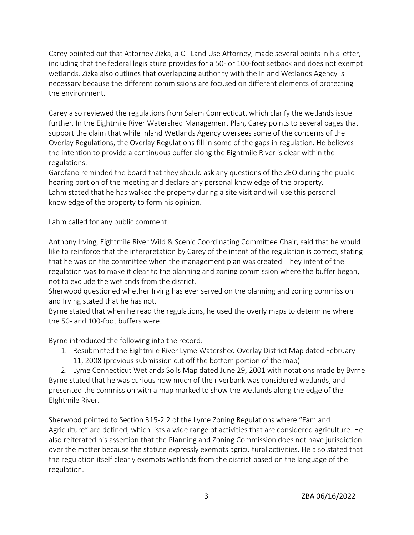Carey pointed out that Attorney Zizka, a CT Land Use Attorney, made several points in his letter, including that the federal legislature provides for a 50- or 100-foot setback and does not exempt wetlands. Zizka also outlines that overlapping authority with the Inland Wetlands Agency is necessary because the different commissions are focused on different elements of protecting the environment.

Carey also reviewed the regulations from Salem Connecticut, which clarify the wetlands issue further. In the Eightmile River Watershed Management Plan, Carey points to several pages that support the claim that while Inland Wetlands Agency oversees some of the concerns of the Overlay Regulations, the Overlay Regulations fill in some of the gaps in regulation. He believes the intention to provide a continuous buffer along the Eightmile River is clear within the regulations.

Garofano reminded the board that they should ask any questions of the ZEO during the public hearing portion of the meeting and declare any personal knowledge of the property. Lahm stated that he has walked the property during a site visit and will use this personal knowledge of the property to form his opinion.

Lahm called for any public comment.

Anthony Irving, Eightmile River Wild & Scenic Coordinating Committee Chair, said that he would like to reinforce that the interpretation by Carey of the intent of the regulation is correct, stating that he was on the committee when the management plan was created. They intent of the regulation was to make it clear to the planning and zoning commission where the buffer began, not to exclude the wetlands from the district.

Sherwood questioned whether Irving has ever served on the planning and zoning commission and Irving stated that he has not.

Byrne stated that when he read the regulations, he used the overly maps to determine where the 50- and 100-foot buffers were.

Byrne introduced the following into the record:

1. Resubmitted the Eightmile River Lyme Watershed Overlay District Map dated February 11, 2008 (previous submission cut off the bottom portion of the map)

2. Lyme Connecticut Wetlands Soils Map dated June 29, 2001 with notations made by Byrne Byrne stated that he was curious how much of the riverbank was considered wetlands, and presented the commission with a map marked to show the wetlands along the edge of the EIghtmile River.

Sherwood pointed to Section 315-2.2 of the Lyme Zoning Regulations where "Fam and Agriculture" are defined, which lists a wide range of activities that are considered agriculture. He also reiterated his assertion that the Planning and Zoning Commission does not have jurisdiction over the matter because the statute expressly exempts agricultural activities. He also stated that the regulation itself clearly exempts wetlands from the district based on the language of the regulation.